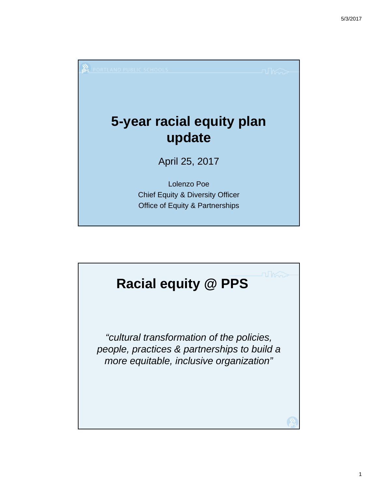

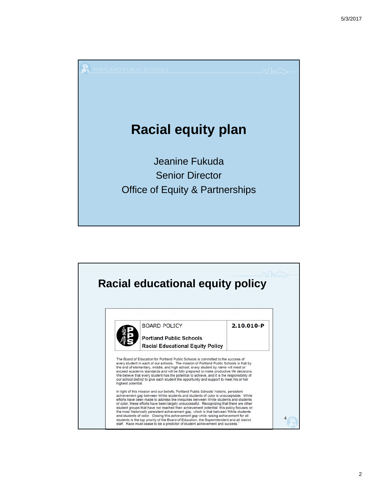

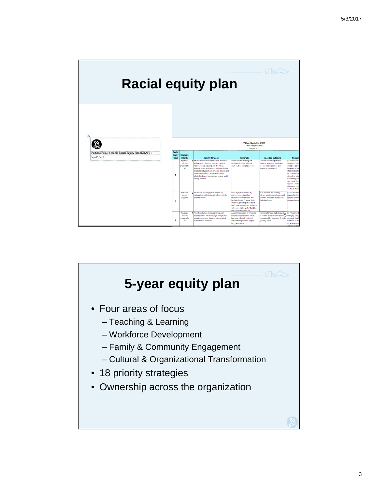

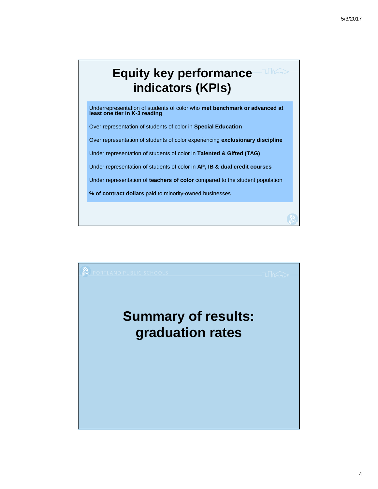# **Equity key performance indicators (KPIs)**

Underrepresentation of students of color who **met benchmark or advanced at least one tier in K-3 reading**

Over representation of students of color in **Special Education**

Over representation of students of color experiencing **exclusionary discipline**

Under representation of students of color in **Talented & Gifted (TAG)**

Under representation of students of color in **AP, IB & dual credit courses**

Under representation of **teachers of color** compared to the student population

**% of contract dollars** paid to minority-owned businesses

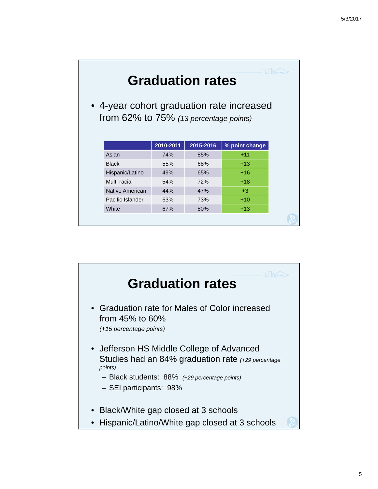|                                                                                     |           | <b>Graduation rates</b> |                |  |
|-------------------------------------------------------------------------------------|-----------|-------------------------|----------------|--|
| • 4-year cohort graduation rate increased<br>from 62% to 75% (13 percentage points) |           |                         |                |  |
|                                                                                     | 2010-2011 | 2015-2016               | % point change |  |
| Asian                                                                               | 74%       | 85%                     | $+11$          |  |
| <b>Black</b>                                                                        | 55%       | 68%                     | $+13$          |  |
| Hispanic/Latino                                                                     | 49%       | 65%                     | $+16$          |  |
| Multi-racial                                                                        | 54%       | 72%                     | $+18$          |  |
| Native American                                                                     | 44%       | 47%                     | $+3$           |  |
| Pacific Islander                                                                    | 63%       | 73%                     | $+10$          |  |
| White                                                                               | 67%       | 80%                     | $+13$          |  |
|                                                                                     |           |                         |                |  |

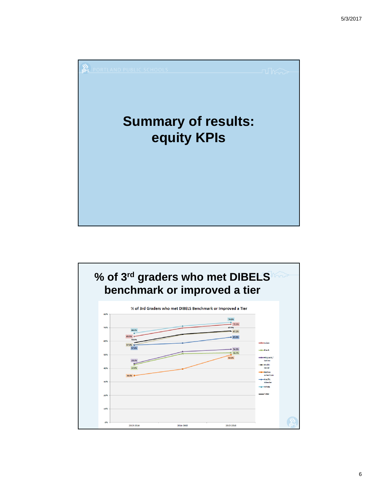

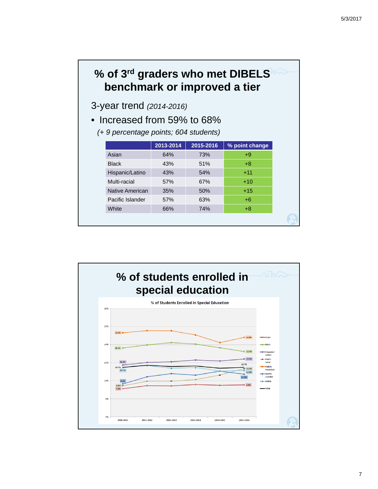## **% of 3rd graders who met DIBELS benchmark or improved a tier**

3-year trend *(2014-2016)*

• Increased from 59% to 68%

*(+ 9 percentage points; 604 students)*

|                  | 2013-2014 | 2015-2016 | % point change |
|------------------|-----------|-----------|----------------|
| Asian            | 64%       | 73%       | $+9$           |
| <b>Black</b>     | 43%       | 51%       | $+8$           |
| Hispanic/Latino  | 43%       | 54%       | $+11$          |
| Multi-racial     | 57%       | 67%       | $+10$          |
| Native American  | 35%       | 50%       | $+15$          |
| Pacific Islander | 57%       | 63%       | $+6$           |
| White            | 66%       | 74%       | $+8$           |

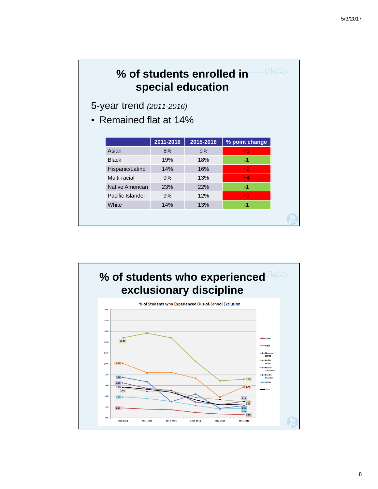## **% of students enrolled in special education**

5-year trend *(2011-2016)*

• Remained flat at 14%

|                  | 2011-2016 | 2015-2016 | % point change |
|------------------|-----------|-----------|----------------|
| Asian            | 8%        | 9%        | $+1$           |
| <b>Black</b>     | 19%       | 18%       | -1             |
| Hispanic/Latino  | 14%       | 16%       | $+2$           |
| Multi-racial     | 9%        | 13%       | $+4$           |
| Native American  | 23%       | 22%       | -1             |
| Pacific Islander | 9%        | 12%       | $+3$           |
| White            | 14%       | 13%       | -1             |
|                  |           |           |                |

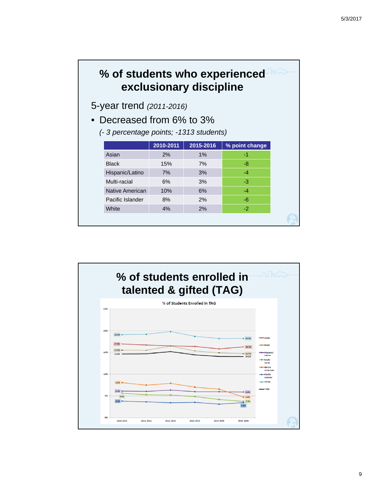#### **% of students who experienced exclusionary discipline**

5-year trend *(2011-2016)*

- Decreased from 6% to 3%
	- *(- 3 percentage points; -1313 students)*

|                  | 2010-2011 | 2015-2016 | % point change |
|------------------|-----------|-----------|----------------|
| Asian            | 2%        | 1%        | -1             |
| <b>Black</b>     | 15%       | 7%        | -8             |
| Hispanic/Latino  | 7%        | 3%        | $-4$           |
| Multi-racial     | 6%        | 3%        | -3             |
| Native American  | 10%       | 6%        | $-4$           |
| Pacific Islander | 8%        | 2%        | $-6$           |
| White            | 4%        | 2%        | $-2$           |

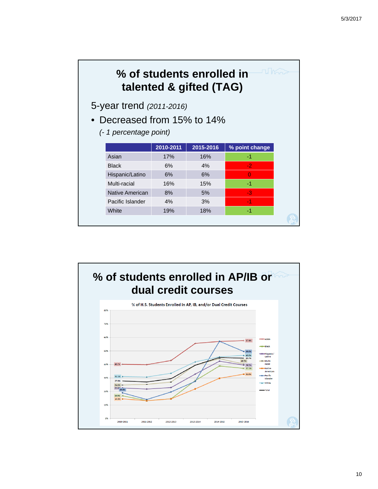## **% of students enrolled in talented & gifted (TAG)**

5-year trend *(2011-2016)*

- Decreased from 15% to 14%
	- *(- 1 percentage point)*

|                  | 2010-2011 | 2015-2016 | % point change |
|------------------|-----------|-----------|----------------|
| Asian            | 17%       | 16%       | -1             |
| <b>Black</b>     | 6%        | 4%        | $-2$           |
| Hispanic/Latino  | 6%        | 6%        | O              |
| Multi-racial     | 16%       | 15%       | -1             |
| Native American  | 8%        | 5%        | -3             |
| Pacific Islander | 4%        | 3%        | $-1$           |
| White            | 19%       | 18%       | -1             |
|                  |           |           |                |

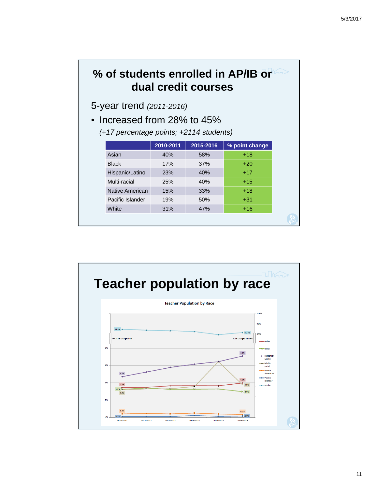## **% of students enrolled in AP/IB or dual credit courses**

5-year trend *(2011-2016)*

• Increased from 28% to 45%

*(+17 percentage points; +2114 students)*

|                  | 2010-2011 | 2015-2016 | % point change |
|------------------|-----------|-----------|----------------|
| Asian            | 40%       | 58%       | $+18$          |
| <b>Black</b>     | 17%       | 37%       | $+20$          |
| Hispanic/Latino  | 23%       | 40%       | $+17$          |
| Multi-racial     | 25%       | 40%       | $+15$          |
| Native American  | 15%       | 33%       | $+18$          |
| Pacific Islander | 19%       | 50%       | $+31$          |
| White            | 31%       | 47%       | $+16$          |

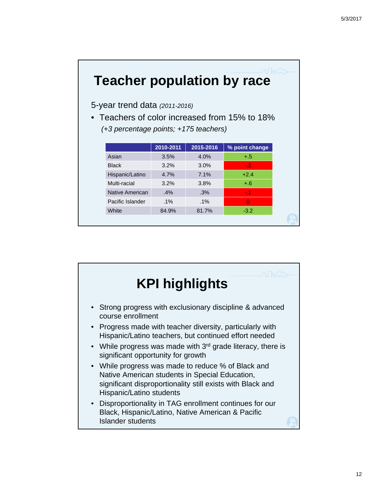# **Teacher population by race**

5-year trend data *(2011-2016)*

• Teachers of color increased from 15% to 18% *(+3 percentage points; +175 teachers)*

|                  | 2010-2011 | 2015-2016 | % point change |
|------------------|-----------|-----------|----------------|
| Asian            | 3.5%      | 4.0%      | $+.5$          |
| <b>Black</b>     | 3.2%      | 3.0%      | $-2$           |
| Hispanic/Latino  | 4.7%      | 7.1%      | $+2.4$         |
| Multi-racial     | 3.2%      | 3.8%      | $+.6$          |
| Native American  | $.4\%$    | .3%       | $-11$          |
| Pacific Islander | $.1\%$    | $.1\%$    | O              |
| White            | 84.9%     | 81.7%     | $-3.2$         |

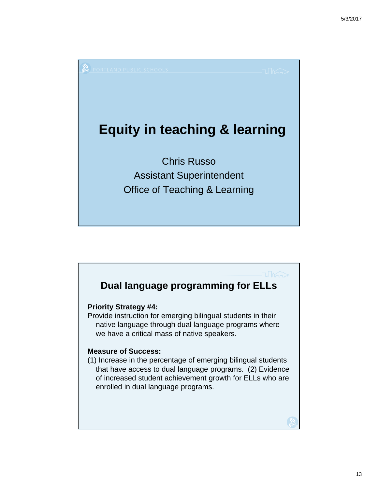

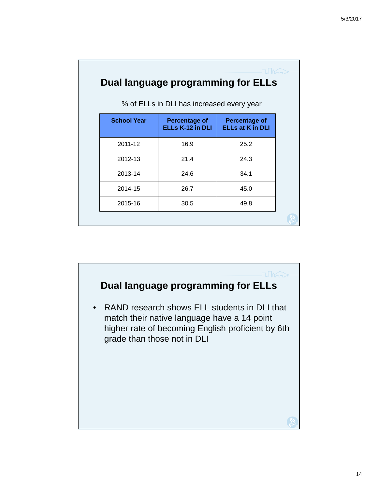| Dual language programming for ELLs<br>% of ELLs in DLI has increased every year |                                                 |                                                 |  |  |  |  |
|---------------------------------------------------------------------------------|-------------------------------------------------|-------------------------------------------------|--|--|--|--|
| <b>School Year</b>                                                              | <b>Percentage of</b><br><b>ELLs K-12 in DLI</b> | <b>Percentage of</b><br><b>ELLs at K in DLI</b> |  |  |  |  |
| 2011-12                                                                         | 16.9                                            | 25.2                                            |  |  |  |  |
| 2012-13                                                                         | 21.4                                            | 24.3                                            |  |  |  |  |
| 2013-14                                                                         | 24.6                                            | 34.1                                            |  |  |  |  |
| 2014-15                                                                         | 26.7                                            | 45.0                                            |  |  |  |  |
| 2015-16                                                                         | 30.5                                            | 49.8                                            |  |  |  |  |
|                                                                                 |                                                 |                                                 |  |  |  |  |

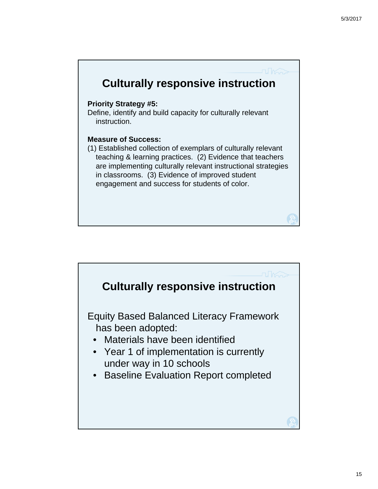

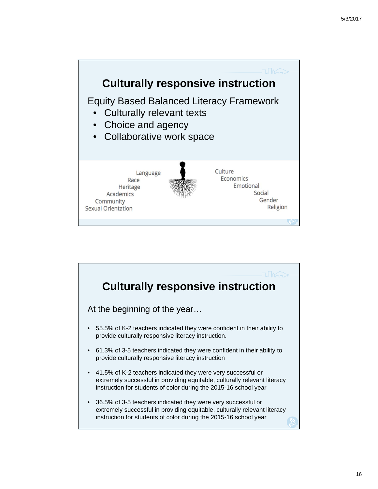

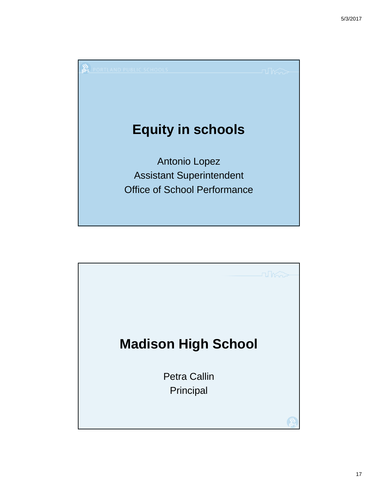

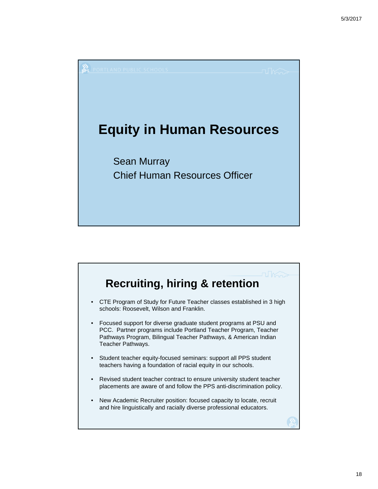

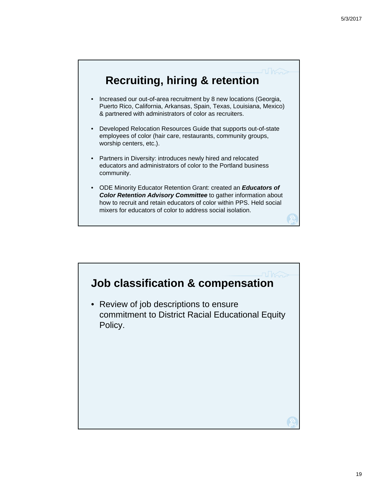

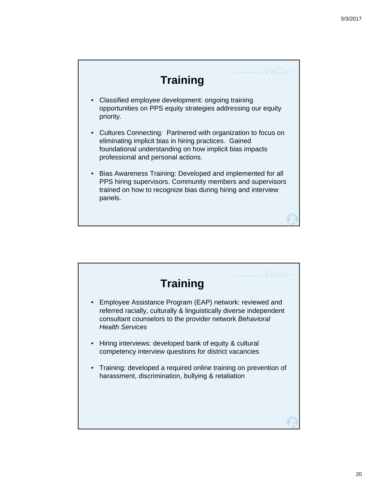# **Training**

- Classified employee development: ongoing training opportunities on PPS equity strategies addressing our equity priority.
- Cultures Connecting*:* Partnered with organization to focus on eliminating implicit bias in hiring practices. Gained foundational understanding on how implicit bias impacts professional and personal actions.
- Bias Awareness Training: Developed and implemented for all PPS hiring supervisors. Community members and supervisors trained on how to recognize bias during hiring and interview panels.

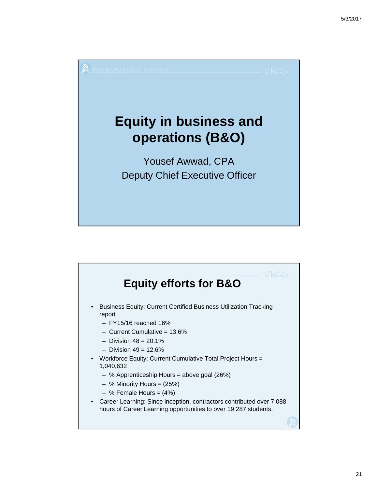

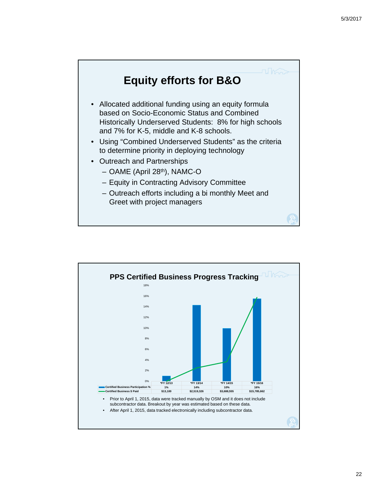

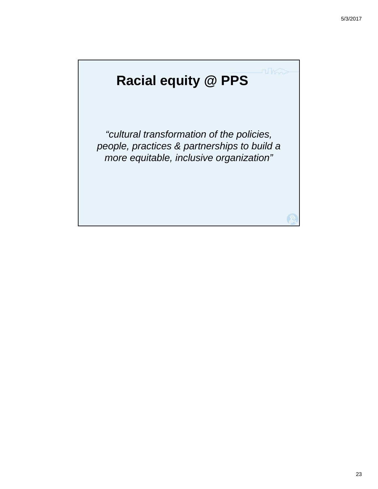# **Racial equity @ PPS**

*"cultural transformation of the policies, people, practices & partnerships to build a more equitable, inclusive organization"*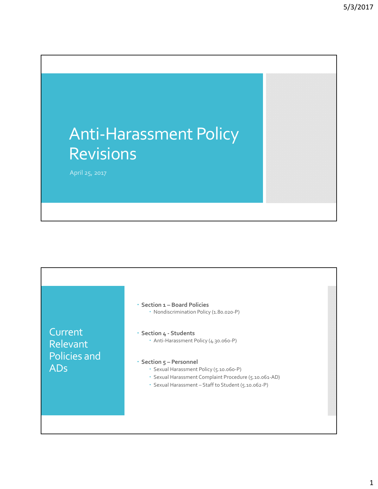# Anti‐Harassment Policy Revisions

April 25, 2017

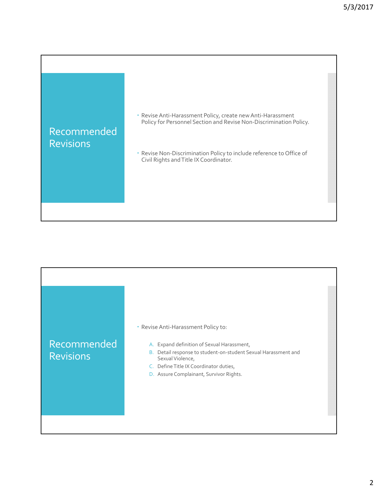

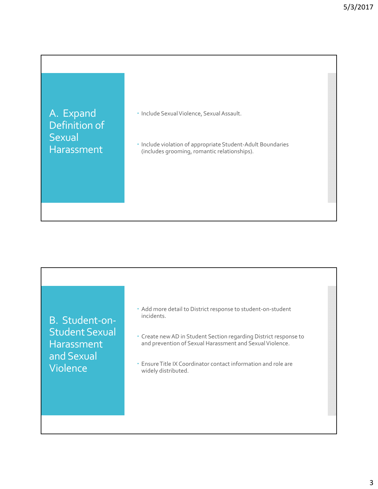A. Expand Definition of **Sexual** Harassment

· Include Sexual Violence, Sexual Assault.

 Include violation of appropriate Student‐Adult Boundaries (includes grooming, romantic relationships).

B. Student‐on‐ Student Sexual **Harassment** and Sexual Violence

- Add more detail to District response to student‐on‐student incidents.
- Create new AD in Student Section regarding District response to and prevention of Sexual Harassment and Sexual Violence.
- EnsureTitle IX Coordinator contact information and role are widely distributed.